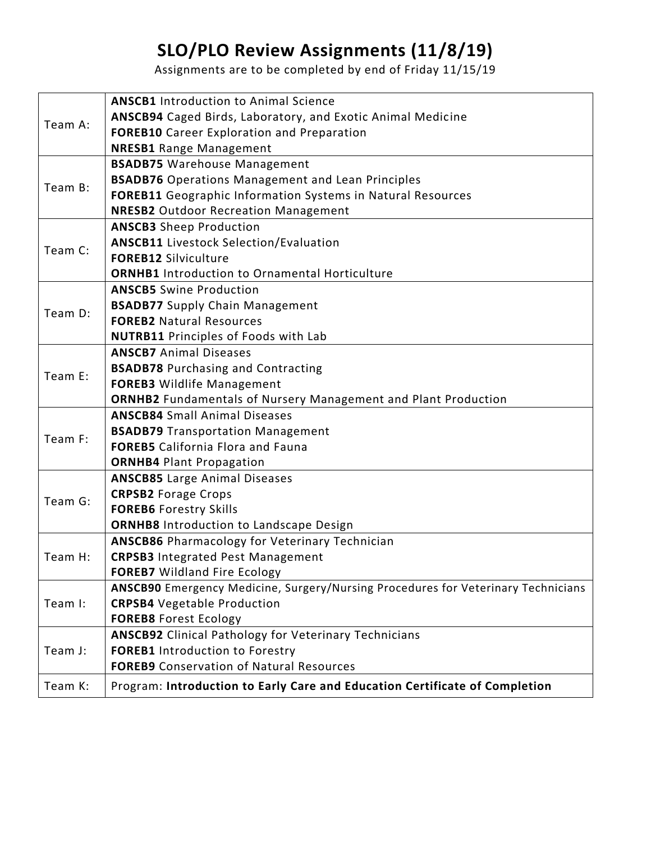## **SLO/PLO Review Assignments (11/8/19)**

Assignments are to be completed by end of Friday 11/15/19

| Team A: | <b>ANSCB1</b> Introduction to Animal Science                                      |
|---------|-----------------------------------------------------------------------------------|
|         | ANSCB94 Caged Birds, Laboratory, and Exotic Animal Medicine                       |
|         | <b>FOREB10</b> Career Exploration and Preparation                                 |
|         | <b>NRESB1</b> Range Management                                                    |
| Team B: | <b>BSADB75</b> Warehouse Management                                               |
|         | <b>BSADB76</b> Operations Management and Lean Principles                          |
|         | FOREB11 Geographic Information Systems in Natural Resources                       |
|         | <b>NRESB2</b> Outdoor Recreation Management                                       |
| Team C: | <b>ANSCB3</b> Sheep Production                                                    |
|         | <b>ANSCB11</b> Livestock Selection/Evaluation                                     |
|         | <b>FOREB12 Silviculture</b>                                                       |
|         | <b>ORNHB1</b> Introduction to Ornamental Horticulture                             |
| Team D: | <b>ANSCB5</b> Swine Production                                                    |
|         | <b>BSADB77</b> Supply Chain Management                                            |
|         | <b>FOREB2 Natural Resources</b>                                                   |
|         | <b>NUTRB11</b> Principles of Foods with Lab                                       |
| Team E: | <b>ANSCB7</b> Animal Diseases                                                     |
|         | <b>BSADB78</b> Purchasing and Contracting                                         |
|         | <b>FOREB3</b> Wildlife Management                                                 |
|         | <b>ORNHB2</b> Fundamentals of Nursery Management and Plant Production             |
| Team F: | <b>ANSCB84 Small Animal Diseases</b>                                              |
|         | <b>BSADB79 Transportation Management</b>                                          |
|         | <b>FOREB5</b> California Flora and Fauna                                          |
|         | <b>ORNHB4 Plant Propagation</b>                                                   |
| Team G: | <b>ANSCB85</b> Large Animal Diseases                                              |
|         | <b>CRPSB2 Forage Crops</b>                                                        |
|         | <b>FOREB6 Forestry Skills</b>                                                     |
|         | <b>ORNHB8</b> Introduction to Landscape Design                                    |
| Team H: | <b>ANSCB86</b> Pharmacology for Veterinary Technician                             |
|         | <b>CRPSB3</b> Integrated Pest Management                                          |
|         | <b>FOREB7</b> Wildland Fire Ecology                                               |
| Team I: | ANSCB90 Emergency Medicine, Surgery/Nursing Procedures for Veterinary Technicians |
|         | <b>CRPSB4</b> Vegetable Production                                                |
|         | <b>FOREB8 Forest Ecology</b>                                                      |
| Team J: | <b>ANSCB92</b> Clinical Pathology for Veterinary Technicians                      |
|         | <b>FOREB1</b> Introduction to Forestry                                            |
|         | <b>FOREB9</b> Conservation of Natural Resources                                   |
| Team K: | Program: Introduction to Early Care and Education Certificate of Completion       |
|         |                                                                                   |